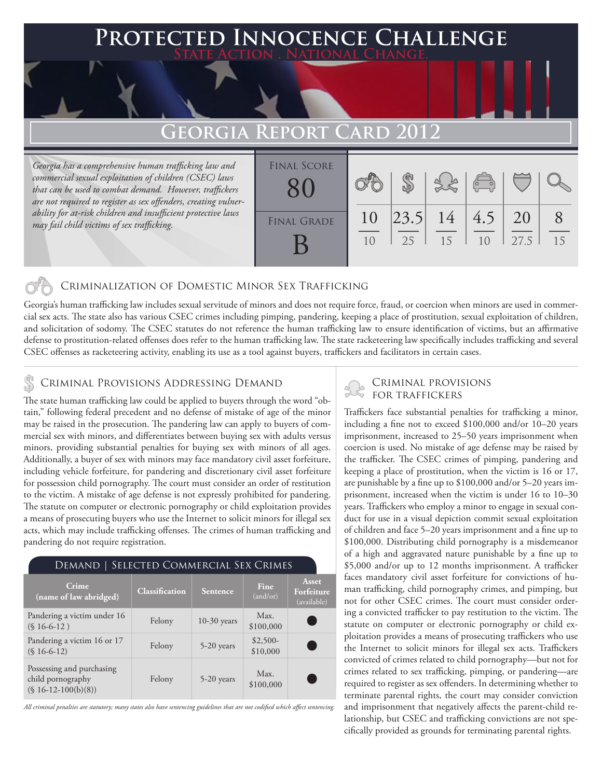## 'ed Innocence Challenge **State Action . National Change. Georgia Report Card 2012** *Georgia has a comprehensive human trafficking law and commercial sexual exploitation of children (CSEC) laws that can be used to combat demand. However, traffickers*  \$ Final Score 80

10

25

15

10

27.5

15

8

20

4.5

14

23.5

10

### Criminalization of Domestic Minor Sex Trafficking

Georgia's human trafficking law includes sexual servitude of minors and does not require force, fraud, or coercion when minors are used in commercial sex acts. The state also has various CSEC crimes including pimping, pandering, keeping a place of prostitution, sexual exploitation of children, and solicitation of sodomy. The CSEC statutes do not reference the human trafficking law to ensure identification of victims, but an affirmative defense to prostitution-related offenses does refer to the human trafficking law. The state racketeering law specifically includes trafficking and several CSEC offenses as racketeering activity, enabling its use as a tool against buyers, traffickers and facilitators in certain cases.

FINAL GRADE

B

# CRIMINAL PROVISIONS ADDRESSING DEMAND<br>The state human rafficking law could be applied to human through the word "obstand" FOR TRAFFICKERS

*are not required to register as sex offenders, creating vulnerability for at-risk children and insufficient protective laws* 

*may fail child victims of sex trafficking.*

The state human trafficking law could be applied to buyers through the word "obtain," following federal precedent and no defense of mistake of age of the minor may be raised in the prosecution. The pandering law can apply to buyers of commercial sex with minors, and differentiates between buying sex with adults versus minors, providing substantial penalties for buying sex with minors of all ages. Additionally, a buyer of sex with minors may face mandatory civil asset forfeiture, including vehicle forfeiture, for pandering and discretionary civil asset forfeiture for possession child pornography. The court must consider an order of restitution to the victim. A mistake of age defense is not expressly prohibited for pandering. The statute on computer or electronic pornography or child exploitation provides a means of prosecuting buyers who use the Internet to solicit minors for illegal sex acts, which may include trafficking offenses. The crimes of human trafficking and pandering do not require registration.

| SELECTED COMMERCIAL SEX CRIMES<br>Demand                               |                |               |                       |                                    |
|------------------------------------------------------------------------|----------------|---------------|-----------------------|------------------------------------|
| Crime<br>(name of law abridged)                                        | Classification | Sentence      | Fine.<br>(and/or)     | Asset<br>Forfeiture<br>(available) |
| Pandering a victim under 16<br>$(S16-6-12)$                            | Felony         | $10-30$ years | Max.<br>\$100,000     |                                    |
| Pandering a victim 16 or 17<br>$(S16-6-12)$                            | Felony         | 5-20 years    | $$2,500-$<br>\$10,000 | <b>Service Service</b>             |
| Possessing and purchasing<br>child pornography<br>$($16-12-100(b)(8))$ | Felony         | 5-20 years    | Max.<br>\$100,000     |                                    |

*All criminal penalties are statutory; many states also have sentencing guidelines that are not codified which affect sentencing.* 

Traffickers face substantial penalties for trafficking a minor, including a fine not to exceed \$100,000 and/or 10–20 years imprisonment, increased to 25–50 years imprisonment when coercion is used. No mistake of age defense may be raised by the trafficker. The CSEC crimes of pimping, pandering and keeping a place of prostitution, when the victim is 16 or 17, are punishable by a fine up to \$100,000 and/or 5–20 years imprisonment, increased when the victim is under 16 to 10–30 years. Traffickers who employ a minor to engage in sexual conduct for use in a visual depiction commit sexual exploitation of children and face 5–20 years imprisonment and a fine up to \$100,000. Distributing child pornography is a misdemeanor of a high and aggravated nature punishable by a fine up to \$5,000 and/or up to 12 months imprisonment. A trafficker faces mandatory civil asset forfeiture for convictions of human trafficking, child pornography crimes, and pimping, but not for other CSEC crimes. The court must consider ordering a convicted trafficker to pay restitution to the victim. The statute on computer or electronic pornography or child exploitation provides a means of prosecuting traffickers who use the Internet to solicit minors for illegal sex acts. Traffickers convicted of crimes related to child pornography—but not for crimes related to sex trafficking, pimping, or pandering—are required to register as sex offenders. In determining whether to terminate parental rights, the court may consider conviction and imprisonment that negatively affects the parent-child relationship, but CSEC and trafficking convictions are not specifically provided as grounds for terminating parental rights.